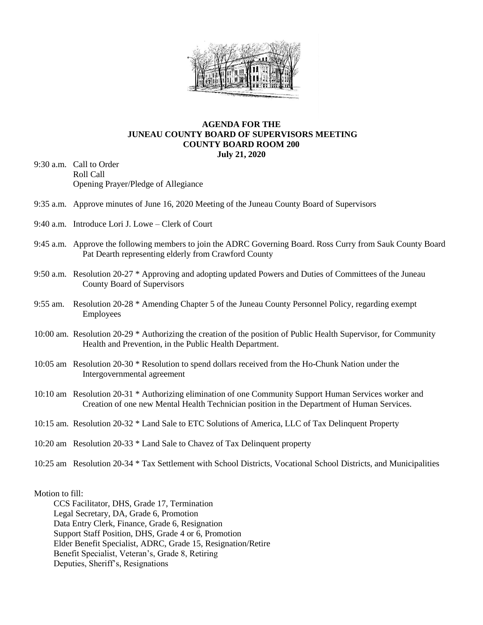

## **AGENDA FOR THE JUNEAU COUNTY BOARD OF SUPERVISORS MEETING COUNTY BOARD ROOM 200 July 21, 2020**

- 9:30 a.m. Call to Order Roll Call Opening Prayer/Pledge of Allegiance
- 9:35 a.m. Approve minutes of June 16, 2020 Meeting of the Juneau County Board of Supervisors
- 9:40 a.m. Introduce Lori J. Lowe Clerk of Court
- 9:45 a.m. Approve the following members to join the ADRC Governing Board. Ross Curry from Sauk County Board Pat Dearth representing elderly from Crawford County
- 9:50 a.m. Resolution 20-27 \* Approving and adopting updated Powers and Duties of Committees of the Juneau County Board of Supervisors
- 9:55 am. Resolution 20-28 \* Amending Chapter 5 of the Juneau County Personnel Policy, regarding exempt Employees
- 10:00 am. Resolution 20-29 \* Authorizing the creation of the position of Public Health Supervisor, for Community Health and Prevention, in the Public Health Department.
- 10:05 am Resolution 20-30 \* Resolution to spend dollars received from the Ho-Chunk Nation under the Intergovernmental agreement
- 10:10 am Resolution 20-31 \* Authorizing elimination of one Community Support Human Services worker and Creation of one new Mental Health Technician position in the Department of Human Services.
- 10:15 am. Resolution 20-32 \* Land Sale to ETC Solutions of America, LLC of Tax Delinquent Property
- 10:20 am Resolution 20-33 \* Land Sale to Chavez of Tax Delinquent property
- 10:25 am Resolution 20-34 \* Tax Settlement with School Districts, Vocational School Districts, and Municipalities

Motion to fill:

 CCS Facilitator, DHS, Grade 17, Termination Legal Secretary, DA, Grade 6, Promotion Data Entry Clerk, Finance, Grade 6, Resignation Support Staff Position, DHS, Grade 4 or 6, Promotion Elder Benefit Specialist, ADRC, Grade 15, Resignation/Retire Benefit Specialist, Veteran's, Grade 8, Retiring Deputies, Sheriff's, Resignations